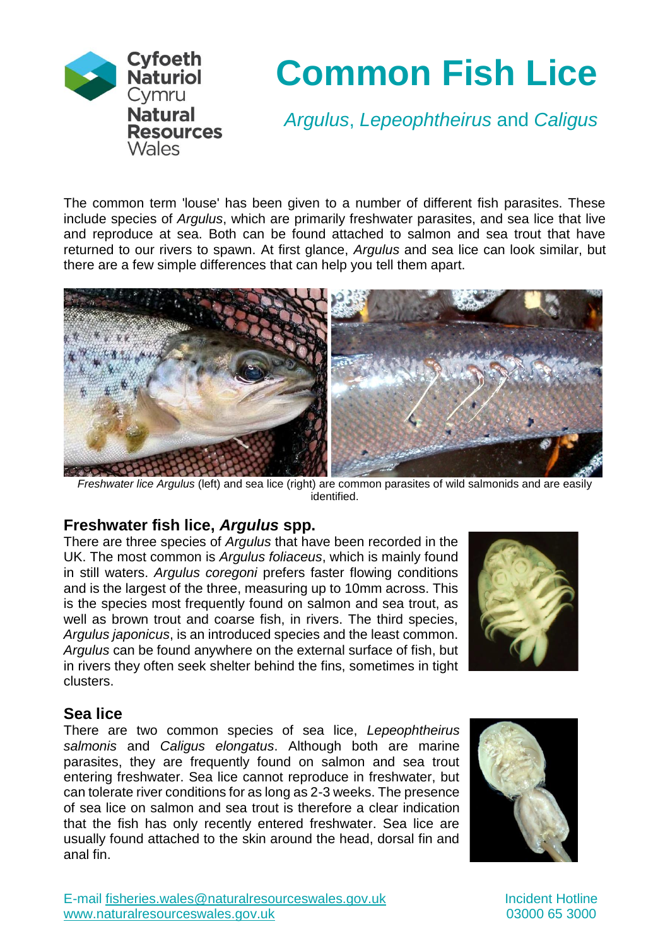

# **Common Fish Lice**

*Argulus*, *Lepeophtheirus* and *Caligus*

The common term 'louse' has been given to a number of different fish parasites. These include species of *Argulus*, which are primarily freshwater parasites, and sea lice that live and reproduce at sea. Both can be found attached to salmon and sea trout that have returned to our rivers to spawn. At first glance, *Argulus* and sea lice can look similar, but there are a few simple differences that can help you tell them apart.



*Freshwater lice Argulus* (left) and sea lice (right) are common parasites of wild salmonids and are easily identified.

## **Freshwater fish lice,** *Argulus* **spp.**

There are three species of *Argulus* that have been recorded in the UK. The most common is *Argulus foliaceus*, which is mainly found in still waters. *Argulus coregoni* prefers faster flowing conditions and is the largest of the three, measuring up to 10mm across. This is the species most frequently found on salmon and sea trout, as well as brown trout and coarse fish, in rivers. The third species, *Argulus japonicus*, is an introduced species and the least common. *Argulus* can be found anywhere on the external surface of fish, but in rivers they often seek shelter behind the fins, sometimes in tight clusters.



#### **Sea lice**

There are two common species of sea lice, *Lepeophtheirus salmonis* and *Caligus elongatus*. Although both are marine parasites, they are frequently found on salmon and sea trout entering freshwater. Sea lice cannot reproduce in freshwater, but can tolerate river conditions for as long as 2-3 weeks. The presence of sea lice on salmon and sea trout is therefore a clear indication that the fish has only recently entered freshwater. Sea lice are usually found attached to the skin around the head, dorsal fin and anal fin.